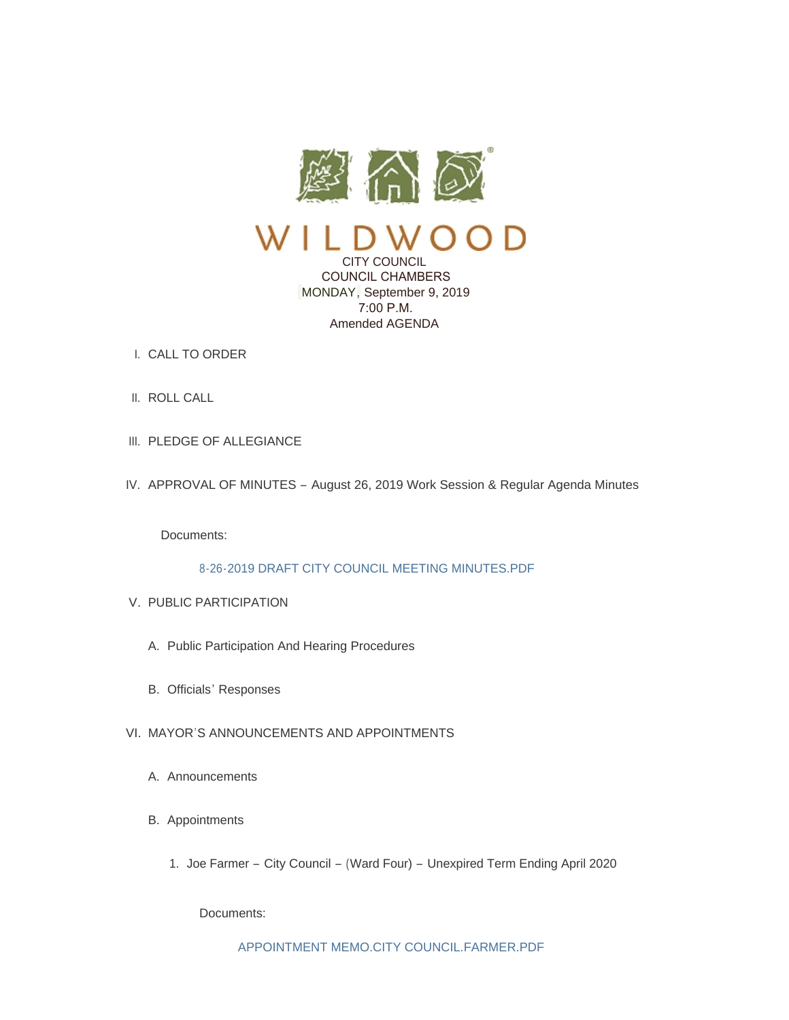

CITY COUNCIL COUNCIL CHAMBERS MONDAY, September 9, 2019 7:00 P.M. Amended AGENDA

- CALL TO ORDER I.
- II. ROLL CALL
- III. PLEDGE OF ALLEGIANCE
- IV. APPROVAL OF MINUTES August 26, 2019 Work Session & Regular Agenda Minutes

Documents:

# [8-26-2019 DRAFT CITY COUNCIL MEETING MINUTES.PDF](https://www.cityofwildwood.com/AgendaCenter/ViewFile/Item/21869?fileID=27329)

- V. PUBLIC PARTICIPATION
	- A. Public Participation And Hearing Procedures
	- B. Officials' Responses
- VI. MAYOR'S ANNOUNCEMENTS AND APPOINTMENTS
	- A. Announcements
	- B. Appointments
		- 1. Joe Farmer City Council (Ward Four) Unexpired Term Ending April 2020

Documents: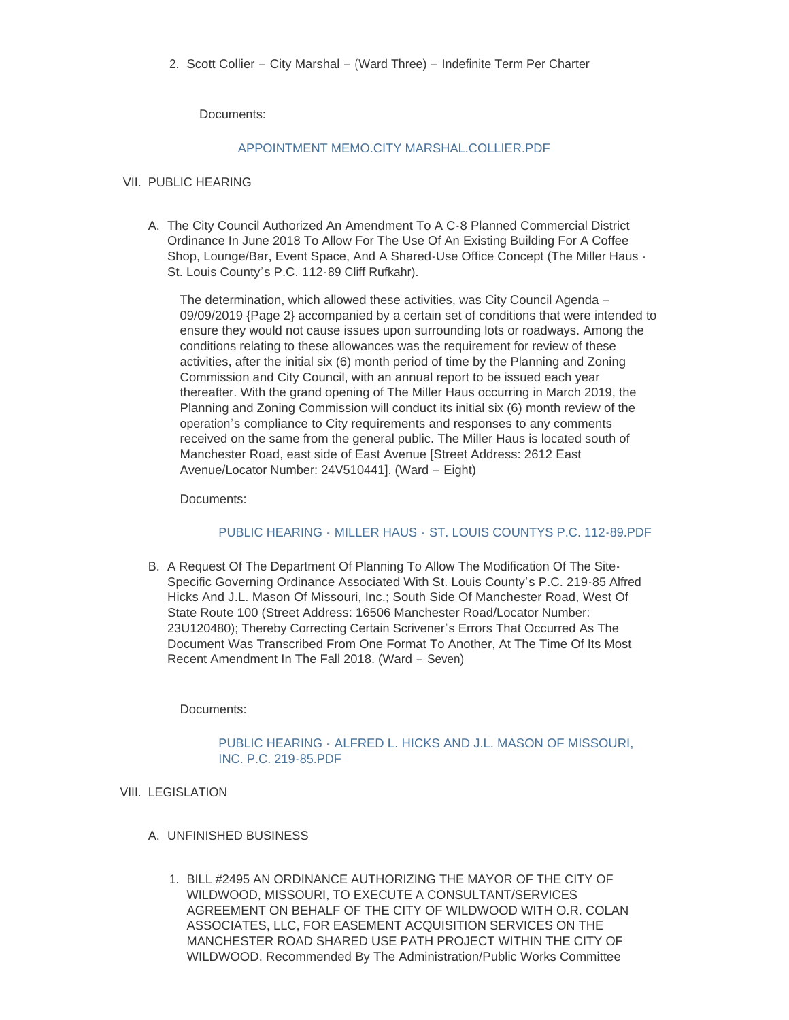Documents:

# [APPOINTMENT MEMO.CITY MARSHAL.COLLIER.PDF](https://www.cityofwildwood.com/AgendaCenter/ViewFile/Item/21877?fileID=27331)

#### VII. PUBLIC HEARING

A. The City Council Authorized An Amendment To A C-8 Planned Commercial District Ordinance In June 2018 To Allow For The Use Of An Existing Building For A Coffee Shop, Lounge/Bar, Event Space, And A Shared-Use Office Concept (The Miller Haus - St. Louis County's P.C. 112-89 Cliff Rufkahr).

The determination, which allowed these activities, was City Council Agenda – 09/09/2019 {Page 2} accompanied by a certain set of conditions that were intended to ensure they would not cause issues upon surrounding lots or roadways. Among the conditions relating to these allowances was the requirement for review of these activities, after the initial six (6) month period of time by the Planning and Zoning Commission and City Council, with an annual report to be issued each year thereafter. With the grand opening of The Miller Haus occurring in March 2019, the Planning and Zoning Commission will conduct its initial six (6) month review of the operation's compliance to City requirements and responses to any comments received on the same from the general public. The Miller Haus is located south of Manchester Road, east side of East Avenue [Street Address: 2612 East Avenue/Locator Number: 24V510441]. (Ward – Eight)

Documents:

# PUBLIC HEARING - MILLER HAUS - [ST. LOUIS COUNTYS P.C. 112-89.PDF](https://www.cityofwildwood.com/AgendaCenter/ViewFile/Item/21879?fileID=27332)

B. A Request Of The Department Of Planning To Allow The Modification Of The Site-Specific Governing Ordinance Associated With St. Louis County's P.C. 219-85 Alfred Hicks And J.L. Mason Of Missouri, Inc.; South Side Of Manchester Road, West Of State Route 100 (Street Address: 16506 Manchester Road/Locator Number: 23U120480); Thereby Correcting Certain Scrivener's Errors That Occurred As The Document Was Transcribed From One Format To Another, At The Time Of Its Most Recent Amendment In The Fall 2018. (Ward – Seven)

Documents:

# PUBLIC HEARING - [ALFRED L. HICKS AND J.L. MASON OF MISSOURI,](https://www.cityofwildwood.com/AgendaCenter/ViewFile/Item/21880?fileID=27333)  INC. P.C. 219-85.PDF

# VIII. LEGISLATION

- UNFINISHED BUSINESS A.
	- BILL #2495 AN ORDINANCE AUTHORIZING THE MAYOR OF THE CITY OF 1. WILDWOOD, MISSOURI, TO EXECUTE A CONSULTANT/SERVICES AGREEMENT ON BEHALF OF THE CITY OF WILDWOOD WITH O.R. COLAN ASSOCIATES, LLC, FOR EASEMENT ACQUISITION SERVICES ON THE MANCHESTER ROAD SHARED USE PATH PROJECT WITHIN THE CITY OF WILDWOOD. Recommended By The Administration/Public Works Committee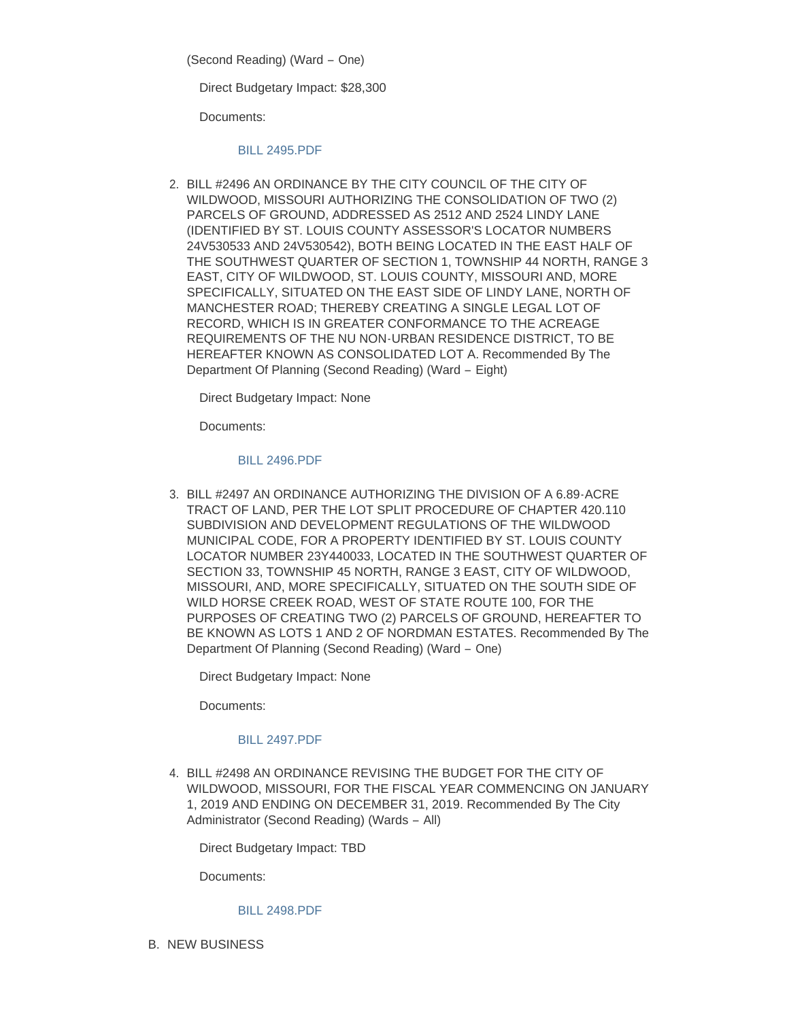(Second Reading) (Ward – One)

Direct Budgetary Impact: \$28,300

Documents:

#### [BILL 2495.PDF](https://www.cityofwildwood.com/AgendaCenter/ViewFile/Item/21883?fileID=27334)

BILL #2496 AN ORDINANCE BY THE CITY COUNCIL OF THE CITY OF 2. WILDWOOD, MISSOURI AUTHORIZING THE CONSOLIDATION OF TWO (2) PARCELS OF GROUND, ADDRESSED AS 2512 AND 2524 LINDY LANE (IDENTIFIED BY ST. LOUIS COUNTY ASSESSOR'S LOCATOR NUMBERS 24V530533 AND 24V530542), BOTH BEING LOCATED IN THE EAST HALF OF THE SOUTHWEST QUARTER OF SECTION 1, TOWNSHIP 44 NORTH, RANGE 3 EAST, CITY OF WILDWOOD, ST. LOUIS COUNTY, MISSOURI AND, MORE SPECIFICALLY, SITUATED ON THE EAST SIDE OF LINDY LANE, NORTH OF MANCHESTER ROAD; THEREBY CREATING A SINGLE LEGAL LOT OF RECORD, WHICH IS IN GREATER CONFORMANCE TO THE ACREAGE REQUIREMENTS OF THE NU NON-URBAN RESIDENCE DISTRICT, TO BE HEREAFTER KNOWN AS CONSOLIDATED LOT A. Recommended By The Department Of Planning (Second Reading) (Ward – Eight)

Direct Budgetary Impact: None

Documents:

# [BILL 2496.PDF](https://www.cityofwildwood.com/AgendaCenter/ViewFile/Item/21884?fileID=27335)

BILL #2497 AN ORDINANCE AUTHORIZING THE DIVISION OF A 6.89-ACRE 3. TRACT OF LAND, PER THE LOT SPLIT PROCEDURE OF CHAPTER 420.110 SUBDIVISION AND DEVELOPMENT REGULATIONS OF THE WILDWOOD MUNICIPAL CODE, FOR A PROPERTY IDENTIFIED BY ST. LOUIS COUNTY LOCATOR NUMBER 23Y440033, LOCATED IN THE SOUTHWEST QUARTER OF SECTION 33, TOWNSHIP 45 NORTH, RANGE 3 EAST, CITY OF WILDWOOD, MISSOURI, AND, MORE SPECIFICALLY, SITUATED ON THE SOUTH SIDE OF WILD HORSE CREEK ROAD, WEST OF STATE ROUTE 100, FOR THE PURPOSES OF CREATING TWO (2) PARCELS OF GROUND, HEREAFTER TO BE KNOWN AS LOTS 1 AND 2 OF NORDMAN ESTATES. Recommended By The Department Of Planning (Second Reading) (Ward – One)

Direct Budgetary Impact: None

Documents:

# [BILL 2497.PDF](https://www.cityofwildwood.com/AgendaCenter/ViewFile/Item/21885?fileID=27336)

BILL #2498 AN ORDINANCE REVISING THE BUDGET FOR THE CITY OF 4. WILDWOOD, MISSOURI, FOR THE FISCAL YEAR COMMENCING ON JANUARY 1, 2019 AND ENDING ON DECEMBER 31, 2019. Recommended By The City Administrator (Second Reading) (Wards – All)

Direct Budgetary Impact: TBD

Documents:

# [BILL 2498.PDF](https://www.cityofwildwood.com/AgendaCenter/ViewFile/Item/21886?fileID=27337)

**B. NEW BUSINESS**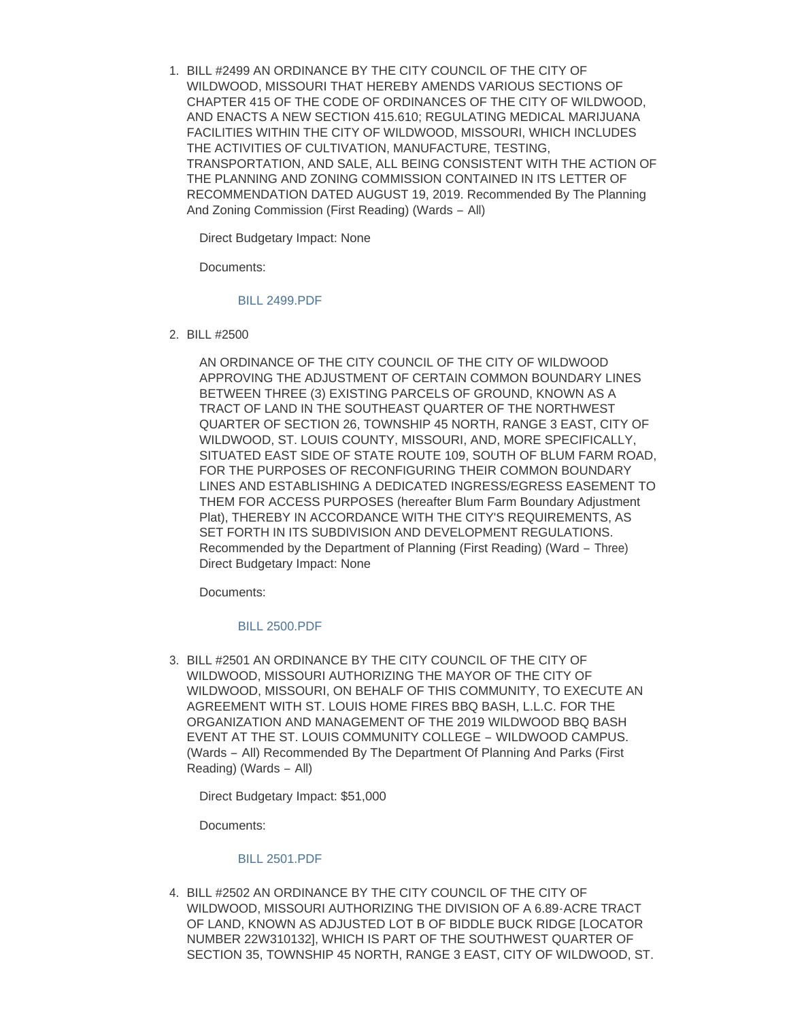BILL #2499 AN ORDINANCE BY THE CITY COUNCIL OF THE CITY OF 1. WILDWOOD, MISSOURI THAT HEREBY AMENDS VARIOUS SECTIONS OF CHAPTER 415 OF THE CODE OF ORDINANCES OF THE CITY OF WILDWOOD, AND ENACTS A NEW SECTION 415.610; REGULATING MEDICAL MARIJUANA FACILITIES WITHIN THE CITY OF WILDWOOD, MISSOURI, WHICH INCLUDES THE ACTIVITIES OF CULTIVATION, MANUFACTURE, TESTING, TRANSPORTATION, AND SALE, ALL BEING CONSISTENT WITH THE ACTION OF THE PLANNING AND ZONING COMMISSION CONTAINED IN ITS LETTER OF RECOMMENDATION DATED AUGUST 19, 2019. Recommended By The Planning And Zoning Commission (First Reading) (Wards – All)

Direct Budgetary Impact: None

Documents:

#### [BILL 2499.PDF](https://www.cityofwildwood.com/AgendaCenter/ViewFile/Item/21888?fileID=27338)

BILL #2500 2.

AN ORDINANCE OF THE CITY COUNCIL OF THE CITY OF WILDWOOD APPROVING THE ADJUSTMENT OF CERTAIN COMMON BOUNDARY LINES BETWEEN THREE (3) EXISTING PARCELS OF GROUND, KNOWN AS A TRACT OF LAND IN THE SOUTHEAST QUARTER OF THE NORTHWEST QUARTER OF SECTION 26, TOWNSHIP 45 NORTH, RANGE 3 EAST, CITY OF WILDWOOD, ST. LOUIS COUNTY, MISSOURI, AND, MORE SPECIFICALLY, SITUATED EAST SIDE OF STATE ROUTE 109, SOUTH OF BLUM FARM ROAD, FOR THE PURPOSES OF RECONFIGURING THEIR COMMON BOUNDARY LINES AND ESTABLISHING A DEDICATED INGRESS/EGRESS EASEMENT TO THEM FOR ACCESS PURPOSES (hereafter Blum Farm Boundary Adjustment Plat), THEREBY IN ACCORDANCE WITH THE CITY'S REQUIREMENTS, AS SET FORTH IN ITS SUBDIVISION AND DEVELOPMENT REGULATIONS. Recommended by the Department of Planning (First Reading) (Ward – Three) Direct Budgetary Impact: None

Documents:

# [BILL 2500.PDF](https://www.cityofwildwood.com/AgendaCenter/ViewFile/Item/21889?fileID=27339)

BILL #2501 AN ORDINANCE BY THE CITY COUNCIL OF THE CITY OF 3. WILDWOOD, MISSOURI AUTHORIZING THE MAYOR OF THE CITY OF WILDWOOD, MISSOURI, ON BEHALF OF THIS COMMUNITY, TO EXECUTE AN AGREEMENT WITH ST. LOUIS HOME FIRES BBQ BASH, L.L.C. FOR THE ORGANIZATION AND MANAGEMENT OF THE 2019 WILDWOOD BBQ BASH EVENT AT THE ST. LOUIS COMMUNITY COLLEGE – WILDWOOD CAMPUS. (Wards – All) Recommended By The Department Of Planning And Parks (First Reading) (Wards – All)

Direct Budgetary Impact: \$51,000

Documents:

#### [BILL 2501.PDF](https://www.cityofwildwood.com/AgendaCenter/ViewFile/Item/21890?fileID=27340)

BILL #2502 AN ORDINANCE BY THE CITY COUNCIL OF THE CITY OF 4. WILDWOOD, MISSOURI AUTHORIZING THE DIVISION OF A 6.89-ACRE TRACT OF LAND, KNOWN AS ADJUSTED LOT B OF BIDDLE BUCK RIDGE [LOCATOR NUMBER 22W310132], WHICH IS PART OF THE SOUTHWEST QUARTER OF SECTION 35, TOWNSHIP 45 NORTH, RANGE 3 EAST, CITY OF WILDWOOD, ST.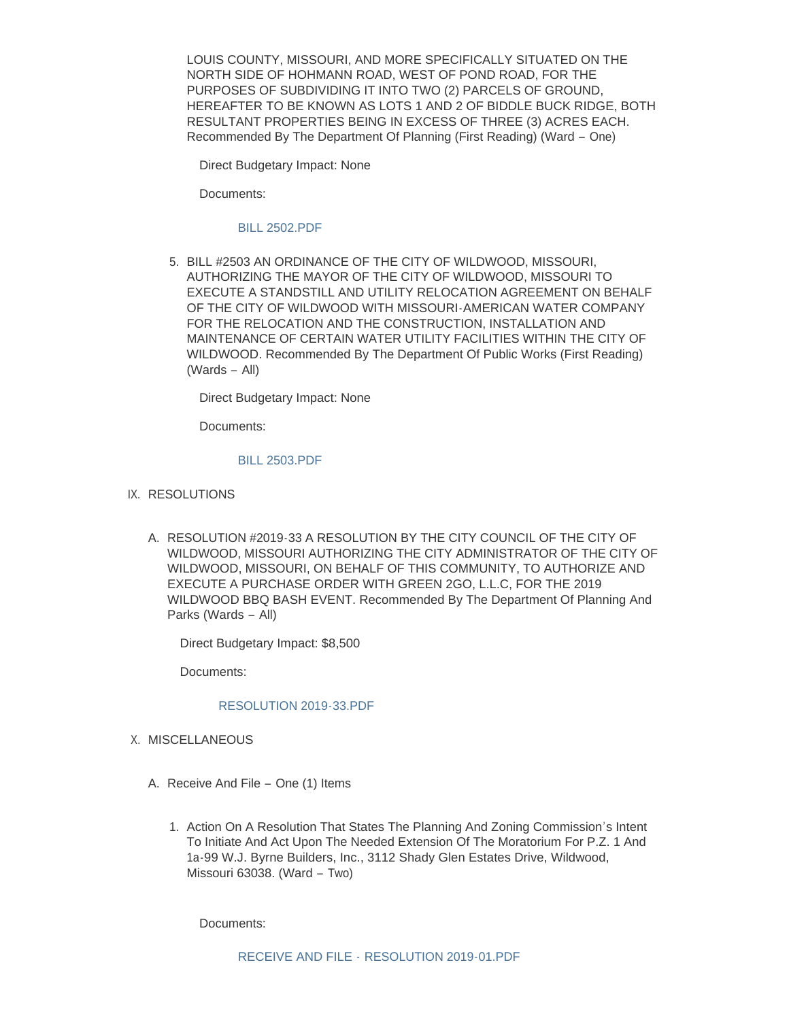LOUIS COUNTY, MISSOURI, AND MORE SPECIFICALLY SITUATED ON THE NORTH SIDE OF HOHMANN ROAD, WEST OF POND ROAD, FOR THE PURPOSES OF SUBDIVIDING IT INTO TWO (2) PARCELS OF GROUND, HEREAFTER TO BE KNOWN AS LOTS 1 AND 2 OF BIDDLE BUCK RIDGE, BOTH RESULTANT PROPERTIES BEING IN EXCESS OF THREE (3) ACRES EACH. Recommended By The Department Of Planning (First Reading) (Ward – One)

Direct Budgetary Impact: None

Documents:

#### [BILL 2502.PDF](https://www.cityofwildwood.com/AgendaCenter/ViewFile/Item/21891?fileID=27341)

BILL #2503 AN ORDINANCE OF THE CITY OF WILDWOOD, MISSOURI, 5. AUTHORIZING THE MAYOR OF THE CITY OF WILDWOOD, MISSOURI TO EXECUTE A STANDSTILL AND UTILITY RELOCATION AGREEMENT ON BEHALF OF THE CITY OF WILDWOOD WITH MISSOURI-AMERICAN WATER COMPANY FOR THE RELOCATION AND THE CONSTRUCTION, INSTALLATION AND MAINTENANCE OF CERTAIN WATER UTILITY FACILITIES WITHIN THE CITY OF WILDWOOD. Recommended By The Department Of Public Works (First Reading) (Wards – All)

Direct Budgetary Impact: None

Documents:

#### [BILL 2503.PDF](https://www.cityofwildwood.com/AgendaCenter/ViewFile/Item/21892?fileID=27342)

- IX. RESOLUTIONS
	- A. RESOLUTION #2019-33 A RESOLUTION BY THE CITY COUNCIL OF THE CITY OF WILDWOOD, MISSOURI AUTHORIZING THE CITY ADMINISTRATOR OF THE CITY OF WILDWOOD, MISSOURI, ON BEHALF OF THIS COMMUNITY, TO AUTHORIZE AND EXECUTE A PURCHASE ORDER WITH GREEN 2GO, L.L.C, FOR THE 2019 WILDWOOD BBQ BASH EVENT. Recommended By The Department Of Planning And Parks (Wards – All)

Direct Budgetary Impact: \$8,500

Documents:

# [RESOLUTION 2019-33.PDF](https://www.cityofwildwood.com/AgendaCenter/ViewFile/Item/21894?fileID=27343)

- X. MISCELLANEOUS
	- A. Receive And File One (1) Items
		- 1. Action On A Resolution That States The Planning And Zoning Commission's Intent To Initiate And Act Upon The Needed Extension Of The Moratorium For P.Z. 1 And 1a-99 W.J. Byrne Builders, Inc., 3112 Shady Glen Estates Drive, Wildwood, Missouri 63038. (Ward – Two)

Documents: